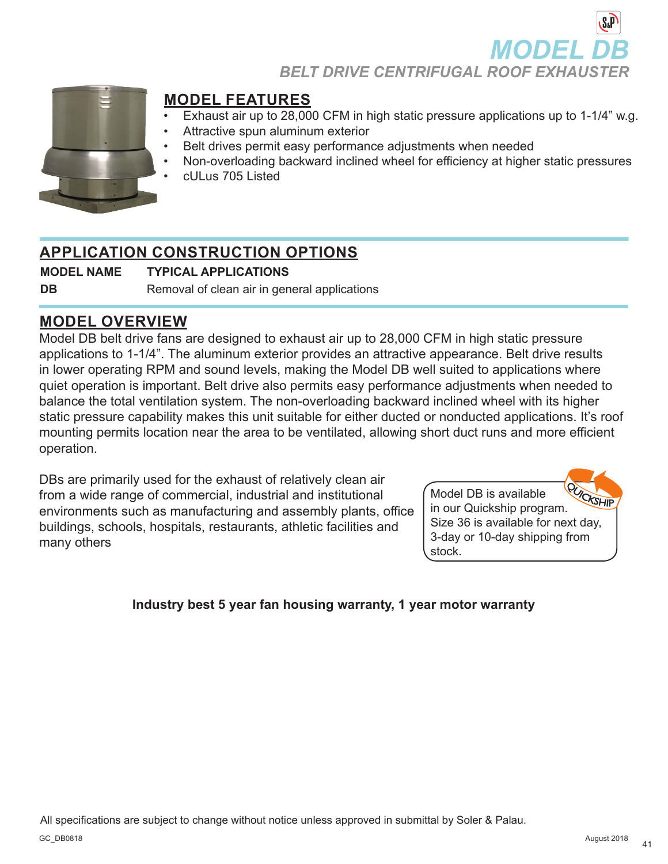**MODEL** 

**BELT DRIVE CENTRIFUGAL ROOF EXHAUSTEI** 



### **MODEL FEATURES**

- Exhaust air up to 28,000 CFM in high static pressure applications up to 1-1/4" w.g.
- Attractive spun aluminum exterior
- Belt drives permit easy performance adjustments when needed
- Non-overloading backward inclined wheel for efficiency at higher static pressures
- cULus 705 Listed

## **APPLICATION CONSTRUCTION OPTIONS**

**MODEL NAME TYPICAL APPLICATIONS**

**DB** Removal of clean air in general applications

### **MODEL OVERVIEW**

Model DB belt drive fans are designed to exhaust air up to 28,000 CFM in high static pressure applications to 1-1/4". The aluminum exterior provides an attractive appearance. Belt drive results in lower operating RPM and sound levels, making the Model DB well suited to applications where quiet operation is important. Belt drive also permits easy performance adjustments when needed to balance the total ventilation system. The non-overloading backward inclined wheel with its higher static pressure capability makes this unit suitable for either ducted or nonducted applications. It's roof mounting permits location near the area to be ventilated, allowing short duct runs and more efficient operation.

DBs are primarily used for the exhaust of relatively clean air from a wide range of commercial, industrial and institutional environments such as manufacturing and assembly plants, office buildings, schools, hospitals, restaurants, athletic facilities and many others



### **Industry best 5 year fan housing warranty, 1 year motor warranty**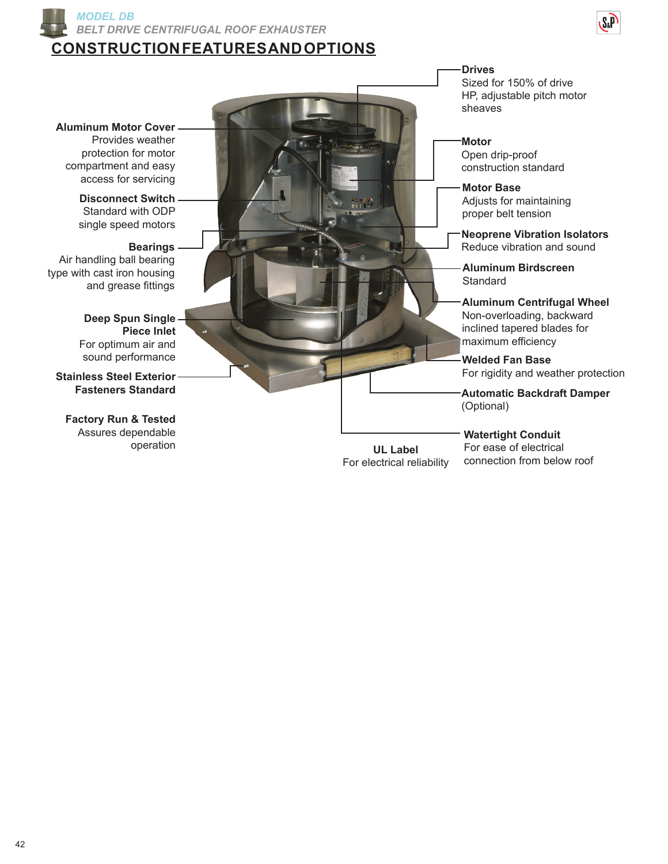

### **CONSTRUCTION FEATURES AND OPTIONS**



**Aluminum Motor Cover**

Provides weather protection for motor compartment and easy access for servicing **Motor Base** 

**Disconnect Switch** Standard with ODP single speed motors

#### **Bearings**

Air handling ball bearing type with cast iron housing and grease fittings

> **Deep Spun Single Piece Inlet** For optimum air and sound performance

**Stainless Steel Exterior Fasteners Standard**

**Factory Run & Tested** Assures dependable operation

**Drives** Sized for 150% of drive HP, adjustable pitch motor sheaves

**Motor** Open drip-proof construction standard

Adjusts for maintaining proper belt tension

**Neoprene Vibration Isolators** Reduce vibration and sound

**Aluminum Birdscreen Standard** 

**Aluminum Centrifugal Wheel** Non-overloading, backward inclined tapered blades for maximum efficiency

**Welded Fan Base** For rigidity and weather protection

**Automatic Backdraft Damper** (Optional)

**UL Label** For electrical reliability **Watertight Conduit** For ease of electrical connection from below roof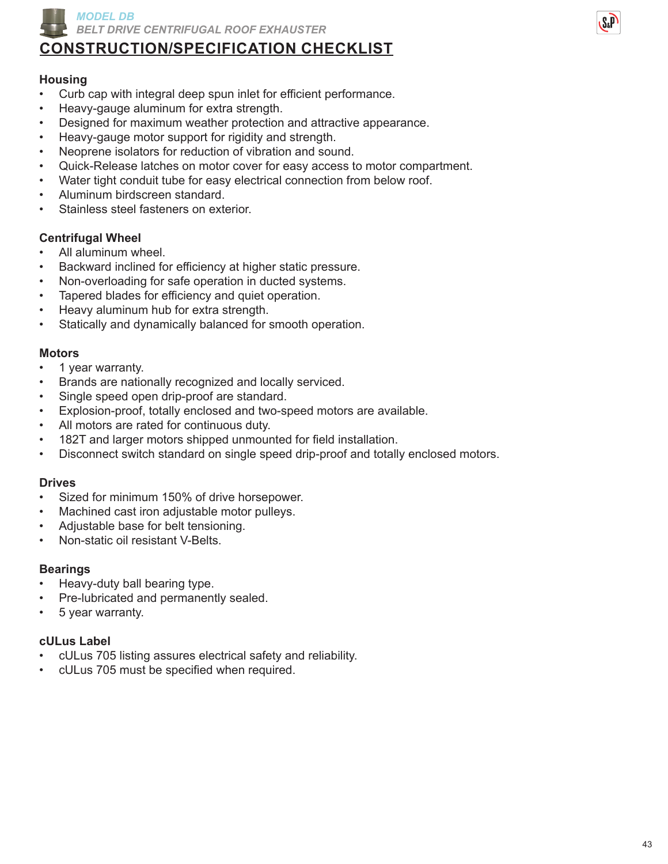

# **CONSTRUCTION/SPECIFICATION CHECKLIST**

### **Housing**

- Curb cap with integral deep spun inlet for efficient performance.
- Heavy-gauge aluminum for extra strength.
- Designed for maximum weather protection and attractive appearance.
- Heavy-gauge motor support for rigidity and strength.
- Neoprene isolators for reduction of vibration and sound.
- Quick-Release latches on motor cover for easy access to motor compartment.
- Water tight conduit tube for easy electrical connection from below roof.
- Aluminum birdscreen standard.
- Stainless steel fasteners on exterior.

#### **Centrifugal Wheel**

- All aluminum wheel.
- Backward inclined for efficiency at higher static pressure.
- Non-overloading for safe operation in ducted systems.
- Tapered blades for efficiency and quiet operation.
- Heavy aluminum hub for extra strength.
- Statically and dynamically balanced for smooth operation.

#### **Motors**

- 1 year warranty.
- Brands are nationally recognized and locally serviced.
- Single speed open drip-proof are standard.
- Explosion-proof, totally enclosed and two-speed motors are available.
- All motors are rated for continuous duty.
- 182T and larger motors shipped unmounted for field installation.
- Disconnect switch standard on single speed drip-proof and totally enclosed motors.

#### **Drives**

- Sized for minimum 150% of drive horsepower.
- Machined cast iron adjustable motor pulleys.
- Adjustable base for belt tensioning.
- Non-static oil resistant V-Belts.

#### **Bearings**

- Heavy-duty ball bearing type.
- Pre-lubricated and permanently sealed.
- 5 year warranty.

#### **cULus Label**

- cULus 705 listing assures electrical safety and reliability.
- cULus 705 must be specified when required.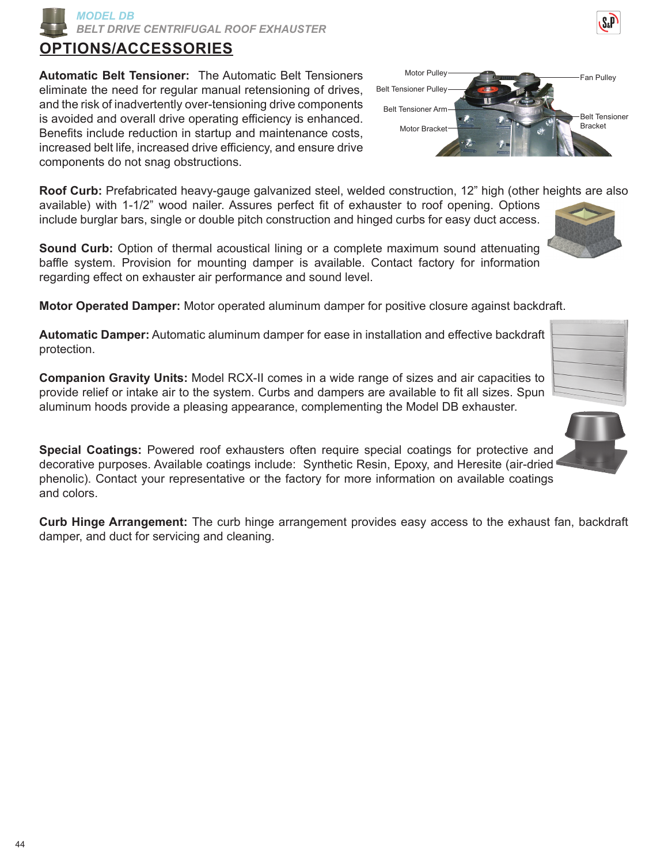*MODEL DB BELT DRIVE CENTRIFUGAL ROOF EXHAUSTER*

# **OPTIONS/ACCESSORIES**

**Automatic Belt Tensioner:** The Automatic Belt Tensioners eliminate the need for regular manual retensioning of drives, and the risk of inadvertently over-tensioning drive components is avoided and overall drive operating efficiency is enhanced. Benefits include reduction in startup and maintenance costs, increased belt life, increased drive efficiency, and ensure drive components do not snag obstructions.

**Roof Curb:** Prefabricated heavy-gauge galvanized steel, welded construction, 12" high (other heights are also available) with 1-1/2" wood nailer. Assures perfect fit of exhauster to roof opening. Options include burglar bars, single or double pitch construction and hinged curbs for easy duct access.

**Sound Curb:** Option of thermal acoustical lining or a complete maximum sound attenuating baffle system. Provision for mounting damper is available. Contact factory for information regarding effect on exhauster air performance and sound level.

**Motor Operated Damper:** Motor operated aluminum damper for positive closure against backdraft.

**Automatic Damper:** Automatic aluminum damper for ease in installation and effective backdraft protection.

**Companion Gravity Units:** Model RCX-II comes in a wide range of sizes and air capacities to provide relief or intake air to the system. Curbs and dampers are available to fit all sizes. Spun aluminum hoods provide a pleasing appearance, complementing the Model DB exhauster.

**Special Coatings:** Powered roof exhausters often require special coatings for protective and decorative purposes. Available coatings include: Synthetic Resin, Epoxy, and Heresite (air-dried phenolic). Contact your representative or the factory for more information on available coatings and colors.

**Curb Hinge Arrangement:** The curb hinge arrangement provides easy access to the exhaust fan, backdraft damper, and duct for servicing and cleaning.







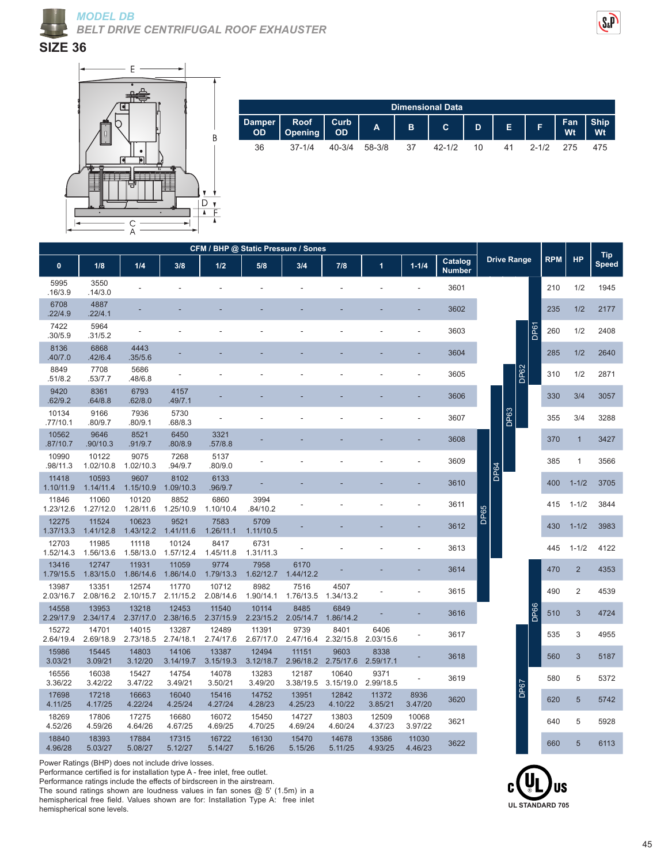



**SIZE 36**



| Dimensional Data |            |            |        |    |        |  |  |  |  |     |  |  |  |
|------------------|------------|------------|--------|----|--------|--|--|--|--|-----|--|--|--|
| Damper<br>OD 0   |            |            |        |    |        |  |  |  |  |     |  |  |  |
| 36               | $37 - 1/4$ | $40 - 3/4$ | 58-3/8 | 37 | 42-1/2 |  |  |  |  | 475 |  |  |  |

| CFM / BHP @ Static Pressure / Sones |                    |                    |                    |                    |                    |                             |                                       |                   |                  |                          |                    |            |                |                     |
|-------------------------------------|--------------------|--------------------|--------------------|--------------------|--------------------|-----------------------------|---------------------------------------|-------------------|------------------|--------------------------|--------------------|------------|----------------|---------------------|
| $\mathbf{0}$                        | 1/8                | 1/4                | 3/8                | 1/2                | 5/8                | 3/4                         | 7/8                                   | 1                 | $1 - 1/4$        | Catalog<br><b>Number</b> | <b>Drive Range</b> | <b>RPM</b> | <b>HP</b>      | <b>Tip</b><br>Speed |
| 5995<br>.16/3.9                     | 3550<br>.14/3.0    |                    |                    |                    |                    |                             |                                       |                   |                  | 3601                     |                    | 210        | 1/2            | 1945                |
| 6708<br>.22/4.9                     | 4887<br>.22/4.1    |                    |                    |                    |                    |                             |                                       |                   |                  | 3602                     |                    | 235        | 1/2            | 2177                |
| 7422<br>.30/5.9                     | 5964<br>.31/5.2    |                    |                    |                    |                    |                             |                                       |                   |                  | 3603                     | DP61               | 260        | 1/2            | 2408                |
| 8136<br>.40/7.0                     | 6868<br>.42/6.4    | 4443<br>.35/5.6    |                    |                    |                    |                             |                                       |                   |                  | 3604                     |                    | 285        | 1/2            | 2640                |
| 8849<br>.51/8.2                     | 7708<br>.53/7.7    | 5686<br>.48/6.8    |                    |                    |                    |                             |                                       |                   |                  | 3605                     | <b>DP62</b>        | 310        | 1/2            | 2871                |
| 9420<br>.62/9.2                     | 8361<br>.64/8.8    | 6793<br>.62/8.0    | 4157<br>.49/7.1    |                    |                    |                             |                                       |                   |                  | 3606                     |                    | 330        | 3/4            | 3057                |
| 10134<br>.77/10.1                   | 9166<br>.80/9.7    | 7936<br>.80/9.1    | 5730<br>.68/8.3    |                    |                    |                             |                                       |                   |                  | 3607                     | DP63               | 355        | 3/4            | 3288                |
| 10562<br>.87/10.7                   | 9646<br>.90/10.3   | 8521<br>.91/9.7    | 6450<br>.80/8.9    | 3321<br>.57/8.8    |                    |                             |                                       |                   |                  | 3608                     |                    | 370        | $\mathbf{1}$   | 3427                |
| 10990<br>.98/11.3                   | 10122<br>1.02/10.8 | 9075<br>1.02/10.3  | 7268<br>.94/9.7    | 5137<br>.80/9.0    |                    |                             |                                       |                   |                  | 3609                     |                    | 385        | 1              | 3566                |
| 11418<br>1.10/11.9                  | 10593<br>1.14/11.4 | 9607<br>1.15/10.9  | 8102<br>1.09/10.3  | 6133<br>.96/9.7    |                    |                             |                                       |                   |                  | 3610                     | DP64               | 400        | $1 - 1/2$      | 3705                |
| 11846<br>1.23/12.6                  | 11060<br>1.27/12.0 | 10120<br>1.28/11.6 | 8852<br>1.25/10.9  | 6860<br>1.10/10.4  | 3994<br>.84/10.2   |                             |                                       |                   |                  | 3611                     |                    | 415        | $1 - 1/2$      | 3844                |
| 12275<br>1.37/13.3                  | 11524<br>1.41/12.8 | 10623<br>1.43/12.2 | 9521<br>1.41/11.6  | 7583<br>1.26/11.1  | 5709<br>1.11/10.5  |                             |                                       |                   |                  | 3612                     | DP65               | 430        | $1 - 1/2$      | 3983                |
| 12703<br>1.52/14.3                  | 11985<br>1.56/13.6 | 11118<br>1.58/13.0 | 10124<br>1.57/12.4 | 8417<br>1.45/11.8  | 6731<br>1.31/11.3  |                             |                                       |                   |                  | 3613                     |                    | 445        | $1 - 1/2$      | 4122                |
| 13416<br>1.79/15.5                  | 12747<br>1.83/15.0 | 11931<br>1.86/14.6 | 11059<br>1.86/14.0 | 9774<br>1.79/13.3  | 7958<br>1.62/12.7  | 6170<br>1.44/12.2           |                                       |                   |                  | 3614                     |                    | 470        | $\overline{2}$ | 4353                |
| 13987<br>2.03/16.7                  | 13351<br>2.08/16.2 | 12574<br>2.10/15.7 | 11770<br>2.11/15.2 | 10712<br>2.08/14.6 | 8982<br>1.90/14.1  | 7516<br>1.76/13.5           | 4507<br>1.34/13.2                     |                   |                  | 3615                     |                    | 490        | 2              | 4539                |
| 14558<br>2.29/17.9                  | 13953<br>2.34/17.4 | 13218<br>2.37/17.0 | 12453<br>2.38/16.5 | 11540<br>2.37/15.9 | 10114              | 8485<br>2.23/15.2 2.05/14.7 | 6849<br>1.86/14.2                     |                   |                  | 3616                     | DP66               | 510        | 3              | 4724                |
| 15272<br>2.64/19.4                  | 14701<br>2.69/18.9 | 14015<br>2.73/18.5 | 13287<br>2.74/18.1 | 12489<br>2.74/17.6 | 11391<br>2.67/17.0 | 9739<br>2.47/16.4           | 8401<br>2.32/15.8                     | 6406<br>2.03/15.6 |                  | 3617                     |                    | 535        | 3              | 4955                |
| 15986<br>3.03/21                    | 15445<br>3.09/21   | 14803<br>3.12/20   | 14106<br>3.14/19.7 | 13387<br>3.15/19.3 | 12494<br>3.12/18.7 | 11151                       | 9603<br>2.96/18.2 2.75/17.6 2.59/17.1 | 8338              |                  | 3618                     |                    | 560        | 3              | 5187                |
| 16556<br>3.36/22                    | 16038<br>3.42/22   | 15427<br>3.47/22   | 14754<br>3.49/21   | 14078<br>3.50/21   | 13283<br>3.49/20   | 12187<br>3.38/19.5          | 10640<br>3.15/19.0                    | 9371<br>2.99/18.5 |                  | 3619                     |                    | 580        | 5              | 5372                |
| 17698<br>4.11/25                    | 17218<br>4.17/25   | 16663<br>4.22/24   | 16040<br>4.25/24   | 15416<br>4.27/24   | 14752<br>4.28/23   | 13951<br>4.25/23            | 12842<br>4.10/22                      | 11372<br>3.85/21  | 8936<br>3.47/20  | 3620                     | DP67               | 620        | 5              | 5742                |
| 18269<br>4.52/26                    | 17806<br>4.59/26   | 17275<br>4.64/26   | 16680<br>4.67/25   | 16072<br>4.69/25   | 15450<br>4.70/25   | 14727<br>4.69/24            | 13803<br>4.60/24                      | 12509<br>4.37/23  | 10068<br>3.97/22 | 3621                     |                    | 640        | 5              | 5928                |
| 18840<br>4.96/28                    | 18393<br>5.03/27   | 17884<br>5.08/27   | 17315<br>5.12/27   | 16722<br>5.14/27   | 16130<br>5.16/26   | 15470<br>5.15/26            | 14678<br>5.11/25                      | 13586<br>4.93/25  | 11030<br>4.46/23 | 3622                     |                    | 660        | 5              | 6113                |

Power Ratings (BHP) does not include drive losses.

Performance certified is for installation type A - free inlet, free outlet.

Performance ratings include the effects of birdscreen in the airstream.

The sound ratings shown are loudness values in fan sones @ 5' (1.5m) in a hemispherical free field. Values shown are for: Installation Type A: free inlet hemispherical sone levels.

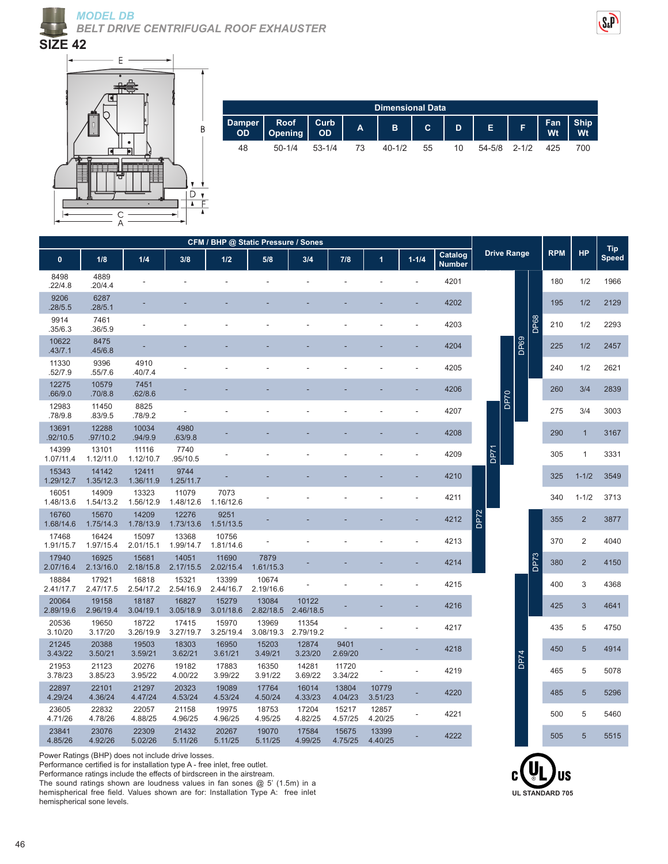





| <b>Dimensional Data</b> |                                                                                  |          |    |        |    |    |              |  |     |     |  |  |  |
|-------------------------|----------------------------------------------------------------------------------|----------|----|--------|----|----|--------------|--|-----|-----|--|--|--|
| Damper                  | Roof Curb   A   B   C   D   E   F   Fan   Ship   A   B   C   D   E   F   Wt   Wt |          |    |        |    |    |              |  |     |     |  |  |  |
| 48                      | $50 - 1/4$                                                                       | $53-1/4$ | 73 | 40-1/2 | 55 | 10 | 54-5/8 2-1/2 |  | 425 | 700 |  |  |  |

| CFM / BHP @ Static Pressure / Sones |                    |                    |                    |                    |                    |                    |                  |                  |                          |                          |                    |             |             |           |                            |      |
|-------------------------------------|--------------------|--------------------|--------------------|--------------------|--------------------|--------------------|------------------|------------------|--------------------------|--------------------------|--------------------|-------------|-------------|-----------|----------------------------|------|
| $\bf{0}$                            | 1/8                | 1/4                | 3/8                | 1/2                | 5/8                | 3/4                | 7/8              | 1                | $1 - 1/4$                | Catalog<br><b>Number</b> | <b>Drive Range</b> |             | <b>RPM</b>  | <b>HP</b> | <b>Tip</b><br><b>Speed</b> |      |
| 8498<br>22/4.8                      | 4889<br>.20/4.4    |                    |                    |                    |                    |                    |                  |                  |                          | 4201                     |                    |             |             | 180       | 1/2                        | 1966 |
| 9206<br>.28/5.5                     | 6287<br>.28/5.1    |                    |                    |                    |                    |                    |                  |                  |                          | 4202                     |                    |             |             | 195       | 1/2                        | 2129 |
| 9914<br>.35/6.3                     | 7461<br>.36/5.9    |                    |                    |                    |                    |                    |                  |                  |                          | 4203                     |                    |             | <b>DP68</b> | 210       | 1/2                        | 2293 |
| 10622<br>.43/7.1                    | 8475<br>.45/6.8    |                    |                    |                    |                    |                    |                  |                  |                          | 4204                     |                    |             | DP69        | 225       | 1/2                        | 2457 |
| 11330<br>.52/7.9                    | 9396<br>.55/7.6    | 4910<br>.40/7.4    |                    |                    |                    |                    |                  |                  |                          | 4205                     |                    |             |             | 240       | 1/2                        | 2621 |
| 12275<br>.66/9.0                    | 10579<br>.70/8.8   | 7451<br>.62/8.6    |                    |                    |                    |                    |                  |                  |                          | 4206                     |                    | <b>DP70</b> |             | 260       | 3/4                        | 2839 |
| 12983<br>.78/9.8                    | 11450<br>.83/9.5   | 8825<br>.78/9.2    |                    |                    |                    |                    |                  |                  |                          | 4207                     |                    |             |             | 275       | 3/4                        | 3003 |
| 13691<br>.92/10.5                   | 12288<br>.97/10.2  | 10034<br>.94/9.9   | 4980<br>.63/9.8    |                    |                    |                    |                  |                  |                          | 4208                     |                    |             |             | 290       | $\mathbf{1}$               | 3167 |
| 14399<br>1.07/11.4                  | 13101<br>1.12/11.0 | 11116<br>1.12/10.7 | 7740<br>.95/10.5   |                    |                    |                    |                  |                  |                          | 4209                     | DP71               |             |             | 305       | 1                          | 3331 |
| 15343<br>1.29/12.7                  | 14142<br>1.35/12.3 | 12411<br>1.36/11.9 | 9744<br>1.25/11.7  |                    |                    |                    |                  |                  |                          | 4210                     |                    |             |             | 325       | $1 - 1/2$                  | 3549 |
| 16051<br>1.48/13.6                  | 14909<br>1.54/13.2 | 13323<br>1.56/12.9 | 11079<br>1.48/12.6 | 7073<br>1.16/12.6  |                    |                    |                  |                  |                          | 4211                     |                    |             |             | 340       | $1 - 1/2$                  | 3713 |
| 16760<br>1.68/14.6                  | 15670<br>1.75/14.3 | 14209<br>1.78/13.9 | 12276<br>1.73/13.6 | 9251<br>1.51/13.5  |                    |                    |                  |                  |                          | 4212                     | <b>DP72</b>        |             |             | 355       | $\overline{2}$             | 3877 |
| 17468<br>1.91/15.7                  | 16424<br>1.97/15.4 | 15097<br>2.01/15.1 | 13368<br>1.99/14.7 | 10756<br>1.81/14.6 |                    |                    |                  |                  |                          | 4213                     |                    |             |             | 370       | $\overline{2}$             | 4040 |
| 17940<br>2.07/16.4                  | 16925<br>2.13/16.0 | 15681<br>2.18/15.8 | 14051<br>2.17/15.5 | 11690<br>2.02/15.4 | 7879<br>1.61/15.3  |                    |                  |                  |                          | 4214                     |                    |             | <b>DP73</b> | 380       | $\overline{2}$             | 4150 |
| 18884<br>2.41/17.7                  | 17921<br>2.47/17.5 | 16818<br>2.54/17.2 | 15321<br>2.54/16.9 | 13399<br>2.44/16.7 | 10674<br>2.19/16.6 |                    |                  |                  | $\overline{\phantom{a}}$ | 4215                     |                    |             |             | 400       | 3                          | 4368 |
| 20064<br>2.89/19.6                  | 19158<br>2.96/19.4 | 18187<br>3.04/19.1 | 16827<br>3.05/18.9 | 15279<br>3.01/18.6 | 13084<br>2.82/18.5 | 10122<br>2.46/18.5 |                  |                  |                          | 4216                     |                    |             |             | 425       | $\mathbf{3}$               | 4641 |
| 20536<br>3.10/20                    | 19650<br>3.17/20   | 18722<br>3.26/19.9 | 17415<br>3.27/19.7 | 15970<br>3.25/19.4 | 13969<br>3.08/19.3 | 11354<br>2.79/19.2 |                  |                  |                          | 4217                     |                    |             |             | 435       | 5                          | 4750 |
| 21245<br>3.43/22                    | 20388<br>3.50/21   | 19503<br>3.59/21   | 18303<br>3.62/21   | 16950<br>3.61/21   | 15203<br>3.49/21   | 12874<br>3.23/20   | 9401<br>2.69/20  |                  |                          | 4218                     |                    |             | <b>DP74</b> | 450       | 5                          | 4914 |
| 21953<br>3.78/23                    | 21123<br>3.85/23   | 20276<br>3.95/22   | 19182<br>4.00/22   | 17883<br>3.99/22   | 16350<br>3.91/22   | 14281<br>3.69/22   | 11720<br>3.34/22 |                  |                          | 4219                     |                    |             |             | 465       | 5                          | 5078 |
| 22897<br>4.29/24                    | 22101<br>4.36/24   | 21297<br>4.47/24   | 20323<br>4.53/24   | 19089<br>4.53/24   | 17764<br>4.50/24   | 16014<br>4.33/23   | 13804<br>4.04/23 | 10779<br>3.51/23 |                          | 4220                     |                    |             |             | 485       | $5\phantom{.0}$            | 5296 |
| 23605<br>4.71/26                    | 22832<br>4.78/26   | 22057<br>4.88/25   | 21158<br>4.96/25   | 19975<br>4.96/25   | 18753<br>4.95/25   | 17204<br>4.82/25   | 15217<br>4.57/25 | 12857<br>4.20/25 |                          | 4221                     |                    |             |             | 500       | 5                          | 5460 |
| 23841<br>4.85/26                    | 23076<br>4.92/26   | 22309<br>5.02/26   | 21432<br>5.11/26   | 20267<br>5.11/25   | 19070<br>5.11/25   | 17584<br>4.99/25   | 15675<br>4.75/25 | 13399<br>4.40/25 |                          | 4222                     |                    |             |             | 505       | $5\phantom{.0}$            | 5515 |

Power Ratings (BHP) does not include drive losses.

Performance certified is for installation type A - free inlet, free outlet.

Performance ratings include the effects of birdscreen in the airstream.

The sound ratings shown are loudness values in fan sones @ 5' (1.5m) in a hemispherical free field. Values shown are for: Installation Type A: free inlet hemispherical sone levels.